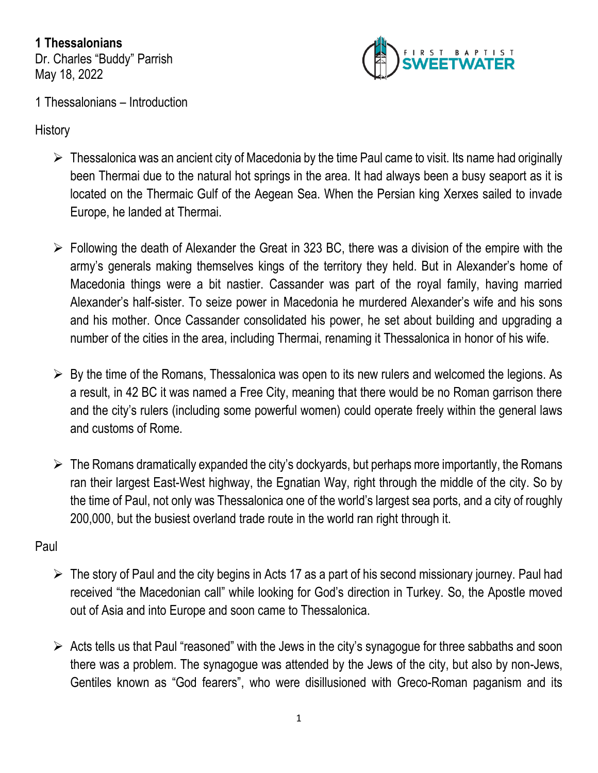**1 Thessalonians** Dr. Charles "Buddy" Parrish May 18, 2022



1 Thessalonians – Introduction

**History** 

- $\triangleright$  Thessalonica was an ancient city of Macedonia by the time Paul came to visit. Its name had originally been Thermai due to the natural hot springs in the area. It had always been a busy seaport as it is located on the Thermaic Gulf of the Aegean Sea. When the Persian king Xerxes sailed to invade Europe, he landed at Thermai.
- ➢ Following the death of Alexander the Great in 323 BC, there was a division of the empire with the army's generals making themselves kings of the territory they held. But in Alexander's home of Macedonia things were a bit nastier. Cassander was part of the royal family, having married Alexander's half-sister. To seize power in Macedonia he murdered Alexander's wife and his sons and his mother. Once Cassander consolidated his power, he set about building and upgrading a number of the cities in the area, including Thermai, renaming it Thessalonica in honor of his wife.
- $\triangleright$  By the time of the Romans, Thessalonica was open to its new rulers and welcomed the legions. As a result, in 42 BC it was named a Free City, meaning that there would be no Roman garrison there and the city's rulers (including some powerful women) could operate freely within the general laws and customs of Rome.
- $\triangleright$  The Romans dramatically expanded the city's dockyards, but perhaps more importantly, the Romans ran their largest East-West highway, the Egnatian Way, right through the middle of the city. So by the time of Paul, not only was Thessalonica one of the world's largest sea ports, and a city of roughly 200,000, but the busiest overland trade route in the world ran right through it.

## Paul

- $\triangleright$  The story of Paul and the city begins in Acts 17 as a part of his second missionary journey. Paul had received "the Macedonian call" while looking for God's direction in Turkey. So, the Apostle moved out of Asia and into Europe and soon came to Thessalonica.
- $\triangleright$  Acts tells us that Paul "reasoned" with the Jews in the city's synagogue for three sabbaths and soon there was a problem. The synagogue was attended by the Jews of the city, but also by non-Jews, Gentiles known as "God fearers", who were disillusioned with Greco-Roman paganism and its